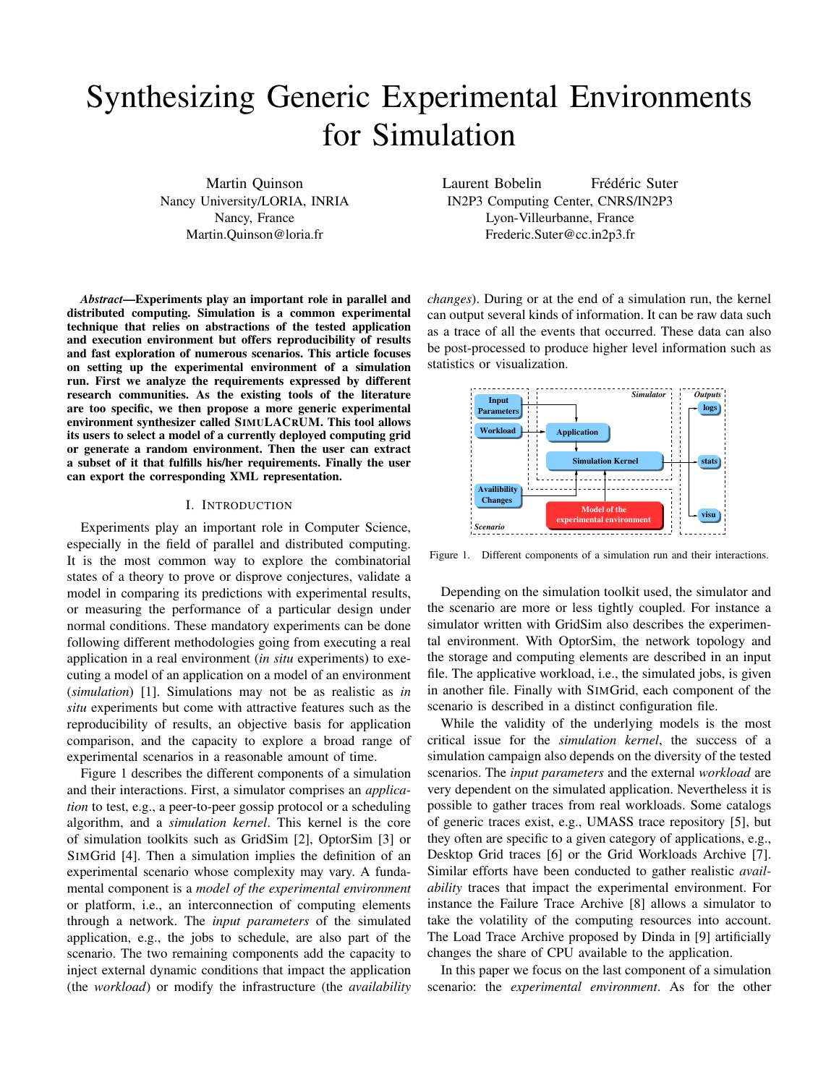# Synthesizing Generic Experimental Environments for Simulation

Martin Quinson Nancy University/LORIA, INRIA Nancy, France Martin.Quinson@loria.fr

*Abstract*—Experiments play an important role in parallel and distributed computing. Simulation is a common experimental technique that relies on abstractions of the tested application and execution environment but offers reproducibility of results and fast exploration of numerous scenarios. This article focuses on setting up the experimental environment of a simulation run. First we analyze the requirements expressed by different research communities. As the existing tools of the literature are too specific, we then propose a more generic experimental environment synthesizer called SIMULACRUM. This tool allows its users to select a model of a currently deployed computing grid or generate a random environment. Then the user can extract a subset of it that fulfills his/her requirements. Finally the user can export the corresponding XML representation.

#### I. INTRODUCTION

Experiments play an important role in Computer Science, especially in the field of parallel and distributed computing. It is the most common way to explore the combinatorial states of a theory to prove or disprove conjectures, validate a model in comparing its predictions with experimental results, or measuring the performance of a particular design under normal conditions. These mandatory experiments can be done following different methodologies going from executing a real application in a real environment (*in situ* experiments) to executing a model of an application on a model of an environment (*simulation*) [1]. Simulations may not be as realistic as *in situ* experiments but come with attractive features such as the reproducibility of results, an objective basis for application comparison, and the capacity to explore a broad range of experimental scenarios in a reasonable amount of time.

Figure 1 describes the different components of a simulation and their interactions. First, a simulator comprises an *application* to test, e.g., a peer-to-peer gossip protocol or a scheduling algorithm, and a *simulation kernel*. This kernel is the core of simulation toolkits such as GridSim [2], OptorSim [3] or SIMGrid [4]. Then a simulation implies the definition of an experimental scenario whose complexity may vary. A fundamental component is a *model of the experimental environment* or platform, i.e., an interconnection of computing elements through a network. The *input parameters* of the simulated application, e.g., the jobs to schedule, are also part of the scenario. The two remaining components add the capacity to inject external dynamic conditions that impact the application (the *workload*) or modify the infrastructure (the *availability* Laurent Bobelin Frédéric Suter IN2P3 Computing Center, CNRS/IN2P3 Lyon-Villeurbanne, France Frederic.Suter@cc.in2p3.fr

*changes*). During or at the end of a simulation run, the kernel can output several kinds of information. It can be raw data such as a trace of all the events that occurred. These data can also be post-processed to produce higher level information such as statistics or visualization.



Figure 1. Different components of a simulation run and their interactions.

Depending on the simulation toolkit used, the simulator and the scenario are more or less tightly coupled. For instance a simulator written with GridSim also describes the experimental environment. With OptorSim, the network topology and the storage and computing elements are described in an input file. The applicative workload, i.e., the simulated jobs, is given in another file. Finally with SIMGrid, each component of the scenario is described in a distinct configuration file.

While the validity of the underlying models is the most critical issue for the *simulation kernel*, the success of a simulation campaign also depends on the diversity of the tested scenarios. The *input parameters* and the external *workload* are very dependent on the simulated application. Nevertheless it is possible to gather traces from real workloads. Some catalogs of generic traces exist, e.g., UMASS trace repository [5], but they often are specific to a given category of applications, e.g., Desktop Grid traces [6] or the Grid Workloads Archive [7]. Similar efforts have been conducted to gather realistic *availability* traces that impact the experimental environment. For instance the Failure Trace Archive [8] allows a simulator to take the volatility of the computing resources into account. The Load Trace Archive proposed by Dinda in [9] artificially changes the share of CPU available to the application.

In this paper we focus on the last component of a simulation scenario: the *experimental environment*. As for the other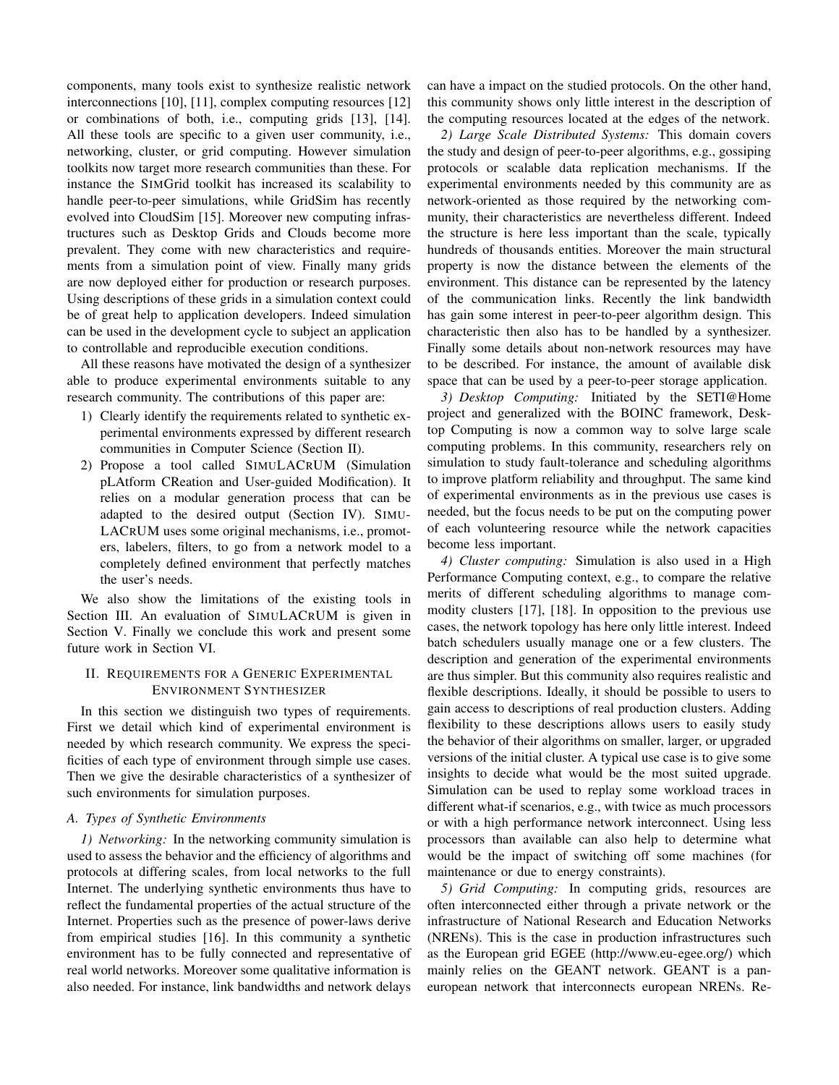components, many tools exist to synthesize realistic network interconnections [10], [11], complex computing resources [12] or combinations of both, i.e., computing grids [13], [14]. All these tools are specific to a given user community, i.e., networking, cluster, or grid computing. However simulation toolkits now target more research communities than these. For instance the SIMGrid toolkit has increased its scalability to handle peer-to-peer simulations, while GridSim has recently evolved into CloudSim [15]. Moreover new computing infrastructures such as Desktop Grids and Clouds become more prevalent. They come with new characteristics and requirements from a simulation point of view. Finally many grids are now deployed either for production or research purposes. Using descriptions of these grids in a simulation context could be of great help to application developers. Indeed simulation can be used in the development cycle to subject an application to controllable and reproducible execution conditions.

All these reasons have motivated the design of a synthesizer able to produce experimental environments suitable to any research community. The contributions of this paper are:

- 1) Clearly identify the requirements related to synthetic experimental environments expressed by different research communities in Computer Science (Section II).
- 2) Propose a tool called SIMULACRUM (Simulation pLAtform CReation and User-guided Modification). It relies on a modular generation process that can be adapted to the desired output (Section IV). SIMU-LACRUM uses some original mechanisms, i.e., promoters, labelers, filters, to go from a network model to a completely defined environment that perfectly matches the user's needs.

We also show the limitations of the existing tools in Section III. An evaluation of SIMULACRUM is given in Section V. Finally we conclude this work and present some future work in Section VI.

# II. REQUIREMENTS FOR A GENERIC EXPERIMENTAL ENVIRONMENT SYNTHESIZER

In this section we distinguish two types of requirements. First we detail which kind of experimental environment is needed by which research community. We express the specificities of each type of environment through simple use cases. Then we give the desirable characteristics of a synthesizer of such environments for simulation purposes.

### *A. Types of Synthetic Environments*

*1) Networking:* In the networking community simulation is used to assess the behavior and the efficiency of algorithms and protocols at differing scales, from local networks to the full Internet. The underlying synthetic environments thus have to reflect the fundamental properties of the actual structure of the Internet. Properties such as the presence of power-laws derive from empirical studies [16]. In this community a synthetic environment has to be fully connected and representative of real world networks. Moreover some qualitative information is also needed. For instance, link bandwidths and network delays

can have a impact on the studied protocols. On the other hand, this community shows only little interest in the description of the computing resources located at the edges of the network.

*2) Large Scale Distributed Systems:* This domain covers the study and design of peer-to-peer algorithms, e.g., gossiping protocols or scalable data replication mechanisms. If the experimental environments needed by this community are as network-oriented as those required by the networking community, their characteristics are nevertheless different. Indeed the structure is here less important than the scale, typically hundreds of thousands entities. Moreover the main structural property is now the distance between the elements of the environment. This distance can be represented by the latency of the communication links. Recently the link bandwidth has gain some interest in peer-to-peer algorithm design. This characteristic then also has to be handled by a synthesizer. Finally some details about non-network resources may have to be described. For instance, the amount of available disk space that can be used by a peer-to-peer storage application.

*3) Desktop Computing:* Initiated by the SETI@Home project and generalized with the BOINC framework, Desktop Computing is now a common way to solve large scale computing problems. In this community, researchers rely on simulation to study fault-tolerance and scheduling algorithms to improve platform reliability and throughput. The same kind of experimental environments as in the previous use cases is needed, but the focus needs to be put on the computing power of each volunteering resource while the network capacities become less important.

*4) Cluster computing:* Simulation is also used in a High Performance Computing context, e.g., to compare the relative merits of different scheduling algorithms to manage commodity clusters [17], [18]. In opposition to the previous use cases, the network topology has here only little interest. Indeed batch schedulers usually manage one or a few clusters. The description and generation of the experimental environments are thus simpler. But this community also requires realistic and flexible descriptions. Ideally, it should be possible to users to gain access to descriptions of real production clusters. Adding flexibility to these descriptions allows users to easily study the behavior of their algorithms on smaller, larger, or upgraded versions of the initial cluster. A typical use case is to give some insights to decide what would be the most suited upgrade. Simulation can be used to replay some workload traces in different what-if scenarios, e.g., with twice as much processors or with a high performance network interconnect. Using less processors than available can also help to determine what would be the impact of switching off some machines (for maintenance or due to energy constraints).

*5) Grid Computing:* In computing grids, resources are often interconnected either through a private network or the infrastructure of National Research and Education Networks (NRENs). This is the case in production infrastructures such as the European grid EGEE (http://www.eu-egee.org/) which mainly relies on the GEANT network. GEANT is a paneuropean network that interconnects european NRENs. Re-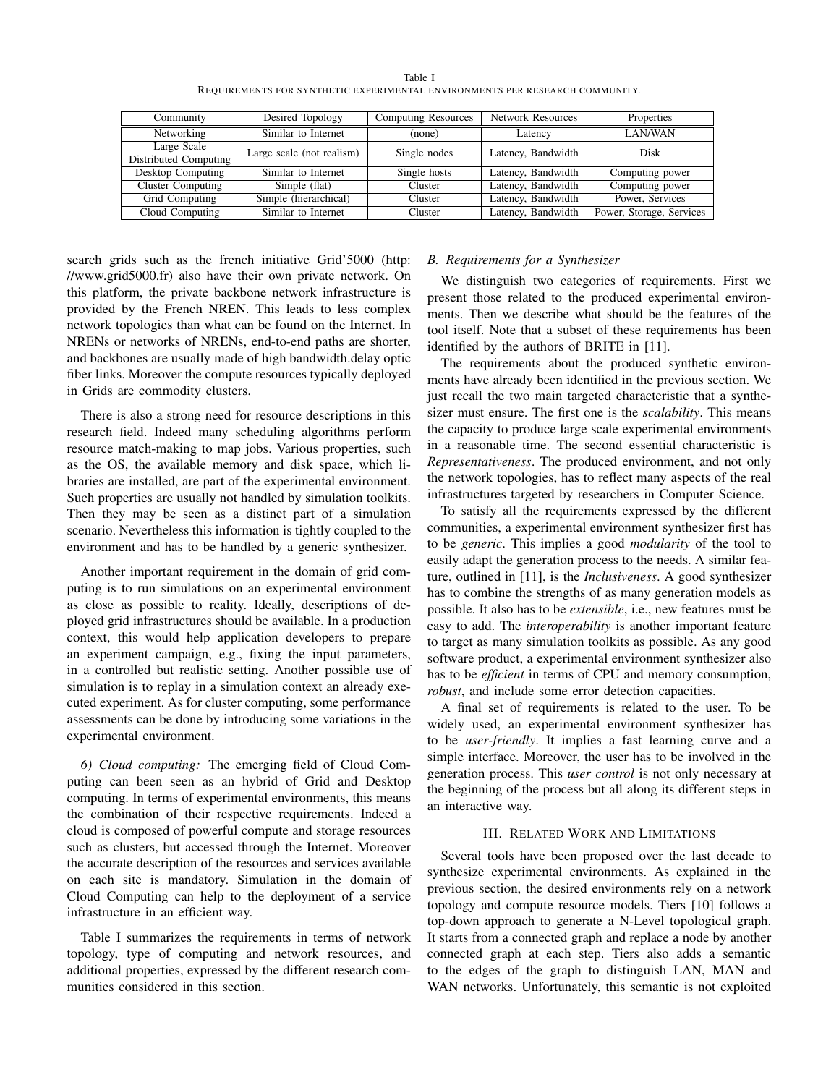| Table I                                                                      |  |  |
|------------------------------------------------------------------------------|--|--|
| REQUIREMENTS FOR SYNTHETIC EXPERIMENTAL ENVIRONMENTS PER RESEARCH COMMUNITY. |  |  |

| Community             | Desired Topology          | <b>Computing Resources</b>         | <b>Network Resources</b> | Properties               |  |
|-----------------------|---------------------------|------------------------------------|--------------------------|--------------------------|--|
| Networking            | Similar to Internet       | (none)                             | Latency                  | LAN/WAN                  |  |
| Large Scale           | Large scale (not realism) | Latency, Bandwidth<br>Single nodes |                          | Disk                     |  |
| Distributed Computing |                           |                                    |                          |                          |  |
| Desktop Computing     | Similar to Internet       | Single hosts                       | Latency, Bandwidth       | Computing power          |  |
| Cluster Computing     | Simple (flat)             | Cluster                            | Latency, Bandwidth       | Computing power          |  |
| Grid Computing        | Simple (hierarchical)     | Cluster                            | Latency, Bandwidth       | Power, Services          |  |
| Cloud Computing       | Similar to Internet       | Cluster                            | Latency, Bandwidth       | Power, Storage, Services |  |

search grids such as the french initiative Grid'5000 (http: //www.grid5000.fr) also have their own private network. On this platform, the private backbone network infrastructure is provided by the French NREN. This leads to less complex network topologies than what can be found on the Internet. In NRENs or networks of NRENs, end-to-end paths are shorter, and backbones are usually made of high bandwidth.delay optic fiber links. Moreover the compute resources typically deployed in Grids are commodity clusters.

There is also a strong need for resource descriptions in this research field. Indeed many scheduling algorithms perform resource match-making to map jobs. Various properties, such as the OS, the available memory and disk space, which libraries are installed, are part of the experimental environment. Such properties are usually not handled by simulation toolkits. Then they may be seen as a distinct part of a simulation scenario. Nevertheless this information is tightly coupled to the environment and has to be handled by a generic synthesizer.

Another important requirement in the domain of grid computing is to run simulations on an experimental environment as close as possible to reality. Ideally, descriptions of deployed grid infrastructures should be available. In a production context, this would help application developers to prepare an experiment campaign, e.g., fixing the input parameters, in a controlled but realistic setting. Another possible use of simulation is to replay in a simulation context an already executed experiment. As for cluster computing, some performance assessments can be done by introducing some variations in the experimental environment.

*6) Cloud computing:* The emerging field of Cloud Computing can been seen as an hybrid of Grid and Desktop computing. In terms of experimental environments, this means the combination of their respective requirements. Indeed a cloud is composed of powerful compute and storage resources such as clusters, but accessed through the Internet. Moreover the accurate description of the resources and services available on each site is mandatory. Simulation in the domain of Cloud Computing can help to the deployment of a service infrastructure in an efficient way.

Table I summarizes the requirements in terms of network topology, type of computing and network resources, and additional properties, expressed by the different research communities considered in this section.

### *B. Requirements for a Synthesizer*

We distinguish two categories of requirements. First we present those related to the produced experimental environments. Then we describe what should be the features of the tool itself. Note that a subset of these requirements has been identified by the authors of BRITE in [11].

The requirements about the produced synthetic environments have already been identified in the previous section. We just recall the two main targeted characteristic that a synthesizer must ensure. The first one is the *scalability*. This means the capacity to produce large scale experimental environments in a reasonable time. The second essential characteristic is *Representativeness*. The produced environment, and not only the network topologies, has to reflect many aspects of the real infrastructures targeted by researchers in Computer Science.

To satisfy all the requirements expressed by the different communities, a experimental environment synthesizer first has to be *generic*. This implies a good *modularity* of the tool to easily adapt the generation process to the needs. A similar feature, outlined in [11], is the *Inclusiveness*. A good synthesizer has to combine the strengths of as many generation models as possible. It also has to be *extensible*, i.e., new features must be easy to add. The *interoperability* is another important feature to target as many simulation toolkits as possible. As any good software product, a experimental environment synthesizer also has to be *efficient* in terms of CPU and memory consumption, *robust*, and include some error detection capacities.

A final set of requirements is related to the user. To be widely used, an experimental environment synthesizer has to be *user-friendly*. It implies a fast learning curve and a simple interface. Moreover, the user has to be involved in the generation process. This *user control* is not only necessary at the beginning of the process but all along its different steps in an interactive way.

## III. RELATED WORK AND LIMITATIONS

Several tools have been proposed over the last decade to synthesize experimental environments. As explained in the previous section, the desired environments rely on a network topology and compute resource models. Tiers [10] follows a top-down approach to generate a N-Level topological graph. It starts from a connected graph and replace a node by another connected graph at each step. Tiers also adds a semantic to the edges of the graph to distinguish LAN, MAN and WAN networks. Unfortunately, this semantic is not exploited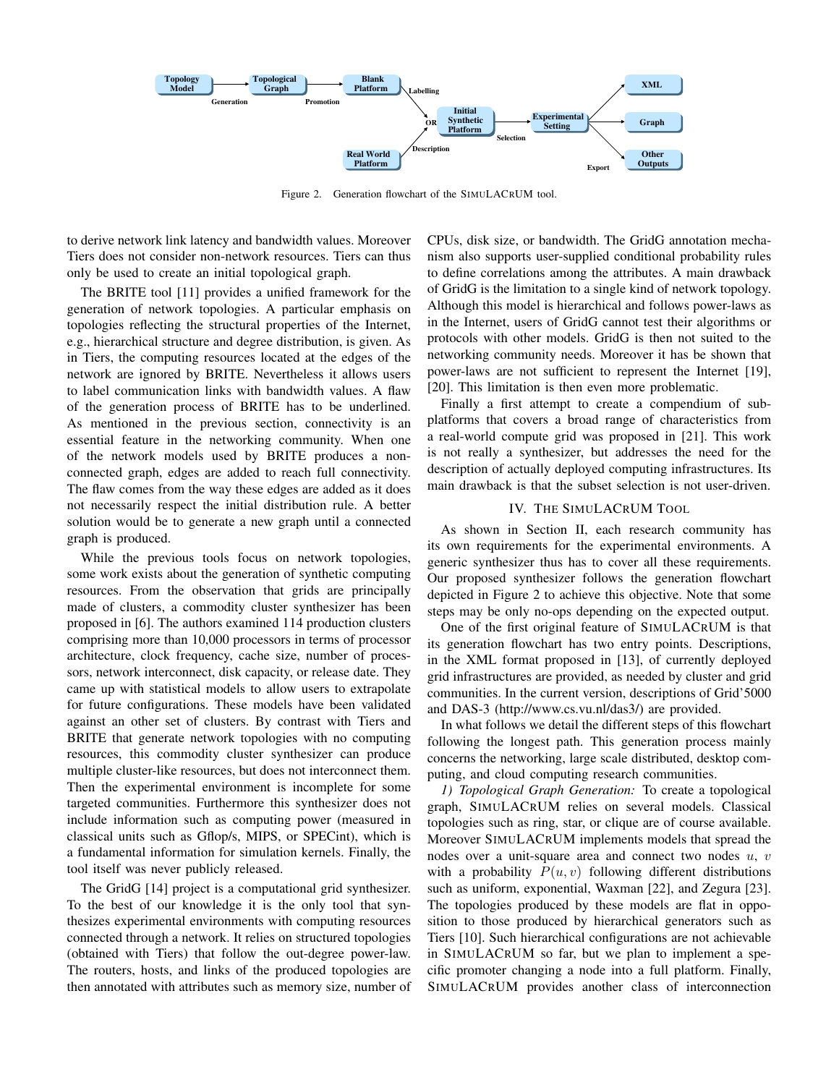

Figure 2. Generation flowchart of the SIMULACRUM tool.

to derive network link latency and bandwidth values. Moreover Tiers does not consider non-network resources. Tiers can thus only be used to create an initial topological graph.

The BRITE tool [11] provides a unified framework for the generation of network topologies. A particular emphasis on topologies reflecting the structural properties of the Internet, e.g., hierarchical structure and degree distribution, is given. As in Tiers, the computing resources located at the edges of the network are ignored by BRITE. Nevertheless it allows users to label communication links with bandwidth values. A flaw of the generation process of BRITE has to be underlined. As mentioned in the previous section, connectivity is an essential feature in the networking community. When one of the network models used by BRITE produces a nonconnected graph, edges are added to reach full connectivity. The flaw comes from the way these edges are added as it does not necessarily respect the initial distribution rule. A better solution would be to generate a new graph until a connected graph is produced.

While the previous tools focus on network topologies, some work exists about the generation of synthetic computing resources. From the observation that grids are principally made of clusters, a commodity cluster synthesizer has been proposed in [6]. The authors examined 114 production clusters comprising more than 10,000 processors in terms of processor architecture, clock frequency, cache size, number of processors, network interconnect, disk capacity, or release date. They came up with statistical models to allow users to extrapolate for future configurations. These models have been validated against an other set of clusters. By contrast with Tiers and BRITE that generate network topologies with no computing resources, this commodity cluster synthesizer can produce multiple cluster-like resources, but does not interconnect them. Then the experimental environment is incomplete for some targeted communities. Furthermore this synthesizer does not include information such as computing power (measured in classical units such as Gflop/s, MIPS, or SPECint), which is a fundamental information for simulation kernels. Finally, the tool itself was never publicly released.

The GridG [14] project is a computational grid synthesizer. To the best of our knowledge it is the only tool that synthesizes experimental environments with computing resources connected through a network. It relies on structured topologies (obtained with Tiers) that follow the out-degree power-law. The routers, hosts, and links of the produced topologies are then annotated with attributes such as memory size, number of CPUs, disk size, or bandwidth. The GridG annotation mechanism also supports user-supplied conditional probability rules to define correlations among the attributes. A main drawback of GridG is the limitation to a single kind of network topology. Although this model is hierarchical and follows power-laws as in the Internet, users of GridG cannot test their algorithms or protocols with other models. GridG is then not suited to the networking community needs. Moreover it has be shown that power-laws are not sufficient to represent the Internet [19], [20]. This limitation is then even more problematic.

Finally a first attempt to create a compendium of subplatforms that covers a broad range of characteristics from a real-world compute grid was proposed in [21]. This work is not really a synthesizer, but addresses the need for the description of actually deployed computing infrastructures. Its main drawback is that the subset selection is not user-driven.

#### IV. THE SIMULACRUM TOOL

As shown in Section II, each research community has its own requirements for the experimental environments. A generic synthesizer thus has to cover all these requirements. Our proposed synthesizer follows the generation flowchart depicted in Figure 2 to achieve this objective. Note that some steps may be only no-ops depending on the expected output.

One of the first original feature of SIMULACRUM is that its generation flowchart has two entry points. Descriptions, in the XML format proposed in [13], of currently deployed grid infrastructures are provided, as needed by cluster and grid communities. In the current version, descriptions of Grid'5000 and DAS-3 (http://www.cs.vu.nl/das3/) are provided.

In what follows we detail the different steps of this flowchart following the longest path. This generation process mainly concerns the networking, large scale distributed, desktop computing, and cloud computing research communities.

*1) Topological Graph Generation:* To create a topological graph, SIMULACRUM relies on several models. Classical topologies such as ring, star, or clique are of course available. Moreover SIMULACRUM implements models that spread the nodes over a unit-square area and connect two nodes  $u, v$ with a probability  $P(u, v)$  following different distributions such as uniform, exponential, Waxman [22], and Zegura [23]. The topologies produced by these models are flat in opposition to those produced by hierarchical generators such as Tiers [10]. Such hierarchical configurations are not achievable in SIMULACRUM so far, but we plan to implement a specific promoter changing a node into a full platform. Finally, SIMULACRUM provides another class of interconnection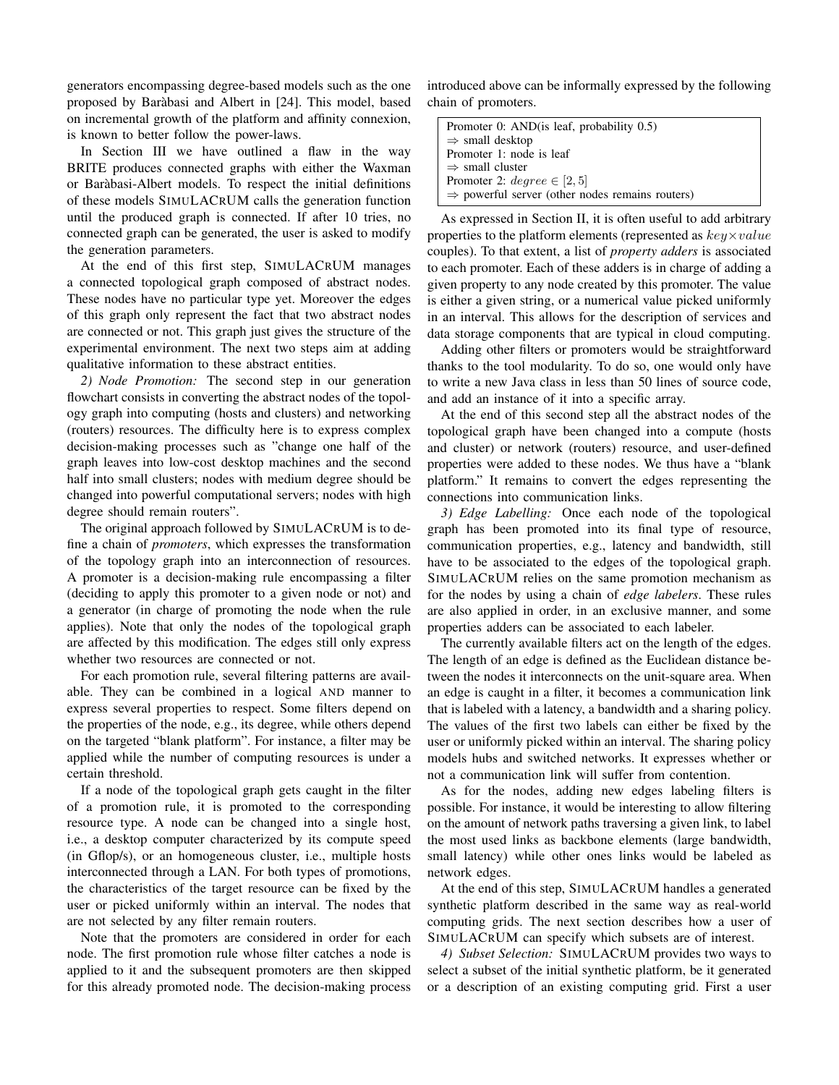generators encompassing degree-based models such as the one proposed by Barabasi and Albert in [24]. This model, based ` on incremental growth of the platform and affinity connexion, is known to better follow the power-laws.

In Section III we have outlined a flaw in the way BRITE produces connected graphs with either the Waxman or Barabasi-Albert models. To respect the initial definitions ` of these models SIMULACRUM calls the generation function until the produced graph is connected. If after 10 tries, no connected graph can be generated, the user is asked to modify the generation parameters.

At the end of this first step, SIMULACRUM manages a connected topological graph composed of abstract nodes. These nodes have no particular type yet. Moreover the edges of this graph only represent the fact that two abstract nodes are connected or not. This graph just gives the structure of the experimental environment. The next two steps aim at adding qualitative information to these abstract entities.

*2) Node Promotion:* The second step in our generation flowchart consists in converting the abstract nodes of the topology graph into computing (hosts and clusters) and networking (routers) resources. The difficulty here is to express complex decision-making processes such as "change one half of the graph leaves into low-cost desktop machines and the second half into small clusters; nodes with medium degree should be changed into powerful computational servers; nodes with high degree should remain routers".

The original approach followed by SIMULACRUM is to define a chain of *promoters*, which expresses the transformation of the topology graph into an interconnection of resources. A promoter is a decision-making rule encompassing a filter (deciding to apply this promoter to a given node or not) and a generator (in charge of promoting the node when the rule applies). Note that only the nodes of the topological graph are affected by this modification. The edges still only express whether two resources are connected or not.

For each promotion rule, several filtering patterns are available. They can be combined in a logical AND manner to express several properties to respect. Some filters depend on the properties of the node, e.g., its degree, while others depend on the targeted "blank platform". For instance, a filter may be applied while the number of computing resources is under a certain threshold.

If a node of the topological graph gets caught in the filter of a promotion rule, it is promoted to the corresponding resource type. A node can be changed into a single host, i.e., a desktop computer characterized by its compute speed (in Gflop/s), or an homogeneous cluster, i.e., multiple hosts interconnected through a LAN. For both types of promotions, the characteristics of the target resource can be fixed by the user or picked uniformly within an interval. The nodes that are not selected by any filter remain routers.

Note that the promoters are considered in order for each node. The first promotion rule whose filter catches a node is applied to it and the subsequent promoters are then skipped for this already promoted node. The decision-making process introduced above can be informally expressed by the following chain of promoters.

| Promoter 0: AND (is leaf, probability 0.5)                  |
|-------------------------------------------------------------|
| $\Rightarrow$ small desktop                                 |
| Promoter 1: node is leaf                                    |
| $\Rightarrow$ small cluster                                 |
| Promoter 2: $degree \in [2, 5]$                             |
| $\Rightarrow$ powerful server (other nodes remains routers) |

As expressed in Section II, it is often useful to add arbitrary properties to the platform elements (represented as  $key \times value$ couples). To that extent, a list of *property adders* is associated to each promoter. Each of these adders is in charge of adding a given property to any node created by this promoter. The value is either a given string, or a numerical value picked uniformly in an interval. This allows for the description of services and data storage components that are typical in cloud computing.

Adding other filters or promoters would be straightforward thanks to the tool modularity. To do so, one would only have to write a new Java class in less than 50 lines of source code, and add an instance of it into a specific array.

At the end of this second step all the abstract nodes of the topological graph have been changed into a compute (hosts and cluster) or network (routers) resource, and user-defined properties were added to these nodes. We thus have a "blank platform." It remains to convert the edges representing the connections into communication links.

*3) Edge Labelling:* Once each node of the topological graph has been promoted into its final type of resource, communication properties, e.g., latency and bandwidth, still have to be associated to the edges of the topological graph. SIMULACRUM relies on the same promotion mechanism as for the nodes by using a chain of *edge labelers*. These rules are also applied in order, in an exclusive manner, and some properties adders can be associated to each labeler.

The currently available filters act on the length of the edges. The length of an edge is defined as the Euclidean distance between the nodes it interconnects on the unit-square area. When an edge is caught in a filter, it becomes a communication link that is labeled with a latency, a bandwidth and a sharing policy. The values of the first two labels can either be fixed by the user or uniformly picked within an interval. The sharing policy models hubs and switched networks. It expresses whether or not a communication link will suffer from contention.

As for the nodes, adding new edges labeling filters is possible. For instance, it would be interesting to allow filtering on the amount of network paths traversing a given link, to label the most used links as backbone elements (large bandwidth, small latency) while other ones links would be labeled as network edges.

At the end of this step, SIMULACRUM handles a generated synthetic platform described in the same way as real-world computing grids. The next section describes how a user of SIMULACRUM can specify which subsets are of interest.

*4) Subset Selection:* SIMULACRUM provides two ways to select a subset of the initial synthetic platform, be it generated or a description of an existing computing grid. First a user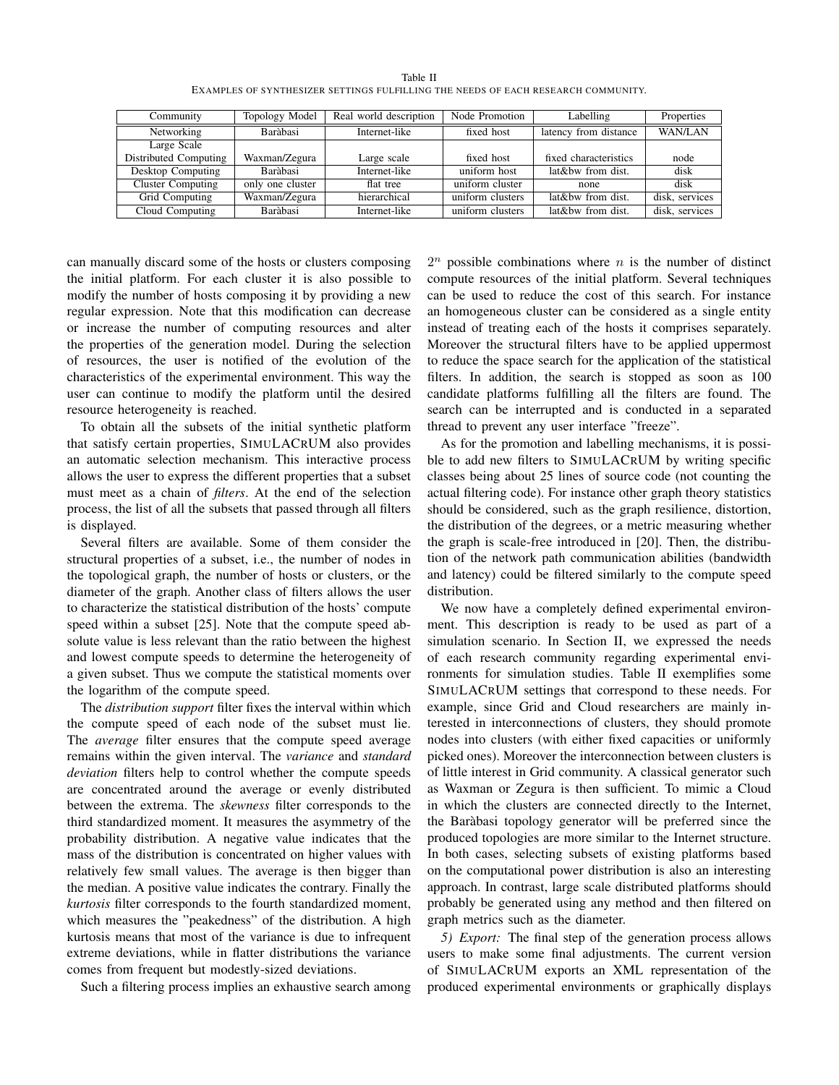|                                                                                   | Table II |  |
|-----------------------------------------------------------------------------------|----------|--|
| EXAMPLES OF SYNTHESIZER SETTINGS FULFILLING THE NEEDS OF EACH RESEARCH COMMUNITY. |          |  |

| Community                | Topology Model   | Real world description | Node Promotion   | Labelling             | Properties     |
|--------------------------|------------------|------------------------|------------------|-----------------------|----------------|
| Networking               | Baràbasi         | Internet-like          | fixed host       | latency from distance | <b>WAN/LAN</b> |
| Large Scale              |                  |                        |                  |                       |                |
| Distributed Computing    | Waxman/Zegura    | Large scale            | fixed host       | fixed characteristics | node           |
| Desktop Computing        | Baràbasi         | Internet-like          | uniform host     | lat&bw from dist.     | disk           |
| <b>Cluster Computing</b> | only one cluster | flat tree              | uniform cluster  | none                  | disk           |
| Grid Computing           | Waxman/Zegura    | hierarchical           | uniform clusters | lat&bw from dist.     | disk, services |
| Cloud Computing          | Baràbasi         | Internet-like          | uniform clusters | lat&bw from dist.     | disk, services |

can manually discard some of the hosts or clusters composing the initial platform. For each cluster it is also possible to modify the number of hosts composing it by providing a new regular expression. Note that this modification can decrease or increase the number of computing resources and alter the properties of the generation model. During the selection of resources, the user is notified of the evolution of the characteristics of the experimental environment. This way the user can continue to modify the platform until the desired resource heterogeneity is reached.

To obtain all the subsets of the initial synthetic platform that satisfy certain properties, SIMULACRUM also provides an automatic selection mechanism. This interactive process allows the user to express the different properties that a subset must meet as a chain of *filters*. At the end of the selection process, the list of all the subsets that passed through all filters is displayed.

Several filters are available. Some of them consider the structural properties of a subset, i.e., the number of nodes in the topological graph, the number of hosts or clusters, or the diameter of the graph. Another class of filters allows the user to characterize the statistical distribution of the hosts' compute speed within a subset [25]. Note that the compute speed absolute value is less relevant than the ratio between the highest and lowest compute speeds to determine the heterogeneity of a given subset. Thus we compute the statistical moments over the logarithm of the compute speed.

The *distribution support* filter fixes the interval within which the compute speed of each node of the subset must lie. The *average* filter ensures that the compute speed average remains within the given interval. The *variance* and *standard deviation* filters help to control whether the compute speeds are concentrated around the average or evenly distributed between the extrema. The *skewness* filter corresponds to the third standardized moment. It measures the asymmetry of the probability distribution. A negative value indicates that the mass of the distribution is concentrated on higher values with relatively few small values. The average is then bigger than the median. A positive value indicates the contrary. Finally the *kurtosis* filter corresponds to the fourth standardized moment, which measures the "peakedness" of the distribution. A high kurtosis means that most of the variance is due to infrequent extreme deviations, while in flatter distributions the variance comes from frequent but modestly-sized deviations.

Such a filtering process implies an exhaustive search among

 $2^n$  possible combinations where *n* is the number of distinct compute resources of the initial platform. Several techniques can be used to reduce the cost of this search. For instance an homogeneous cluster can be considered as a single entity instead of treating each of the hosts it comprises separately. Moreover the structural filters have to be applied uppermost to reduce the space search for the application of the statistical filters. In addition, the search is stopped as soon as 100 candidate platforms fulfilling all the filters are found. The search can be interrupted and is conducted in a separated thread to prevent any user interface "freeze".

As for the promotion and labelling mechanisms, it is possible to add new filters to SIMULACRUM by writing specific classes being about 25 lines of source code (not counting the actual filtering code). For instance other graph theory statistics should be considered, such as the graph resilience, distortion, the distribution of the degrees, or a metric measuring whether the graph is scale-free introduced in [20]. Then, the distribution of the network path communication abilities (bandwidth and latency) could be filtered similarly to the compute speed distribution.

We now have a completely defined experimental environment. This description is ready to be used as part of a simulation scenario. In Section II, we expressed the needs of each research community regarding experimental environments for simulation studies. Table II exemplifies some SIMULACRUM settings that correspond to these needs. For example, since Grid and Cloud researchers are mainly interested in interconnections of clusters, they should promote nodes into clusters (with either fixed capacities or uniformly picked ones). Moreover the interconnection between clusters is of little interest in Grid community. A classical generator such as Waxman or Zegura is then sufficient. To mimic a Cloud in which the clusters are connected directly to the Internet, the Barabasi topology generator will be preferred since the ` produced topologies are more similar to the Internet structure. In both cases, selecting subsets of existing platforms based on the computational power distribution is also an interesting approach. In contrast, large scale distributed platforms should probably be generated using any method and then filtered on graph metrics such as the diameter.

*5) Export:* The final step of the generation process allows users to make some final adjustments. The current version of SIMULACRUM exports an XML representation of the produced experimental environments or graphically displays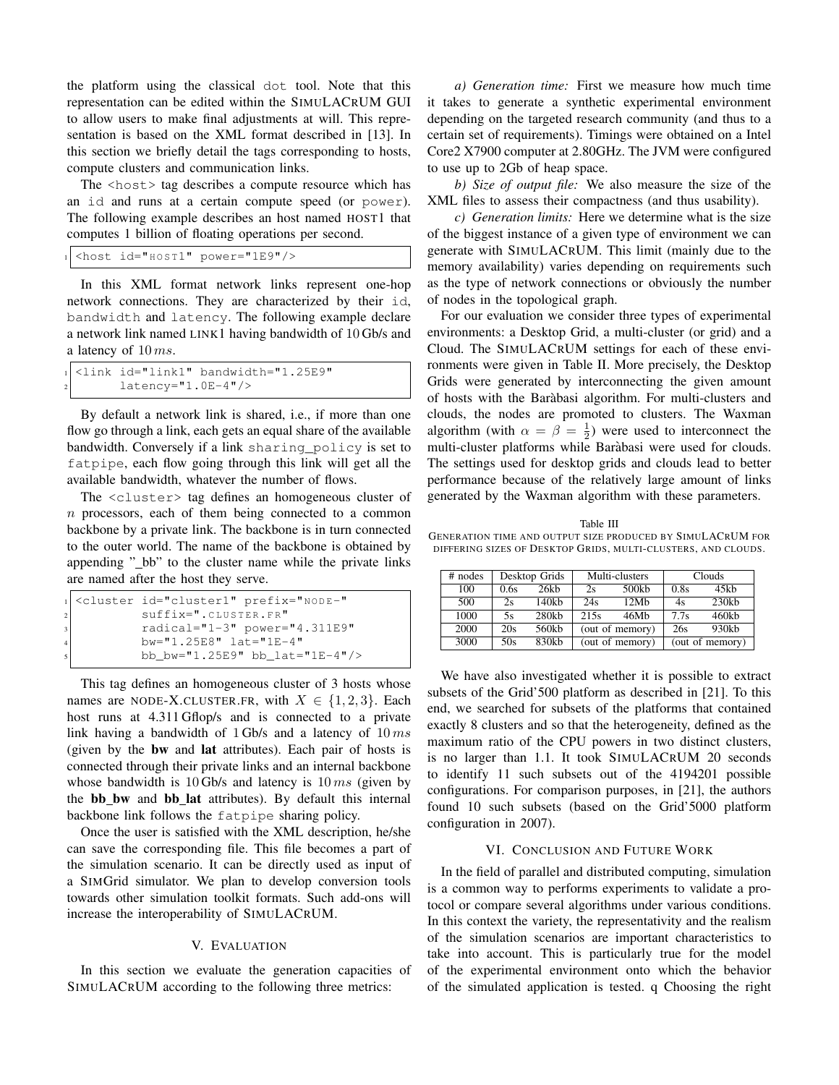the platform using the classical dot tool. Note that this representation can be edited within the SIMULACRUM GUI to allow users to make final adjustments at will. This representation is based on the XML format described in [13]. In this section we briefly detail the tags corresponding to hosts, compute clusters and communication links.

The  $\langle \text{host} \rangle$  tag describes a compute resource which has an id and runs at a certain compute speed (or power). The following example describes an host named HOST1 that computes 1 billion of floating operations per second.

```
1 <host id="H O S T1" power="1E9"/>
```
In this XML format network links represent one-hop network connections. They are characterized by their id, bandwidth and latency. The following example declare a network link named LINK1 having bandwidth of 10 Gb/s and a latency of  $10 \, ms$ .

```
1 <link id="link1" bandwidth="1.25E9"
lateral = "1.0E-4"
```
By default a network link is shared, i.e., if more than one flow go through a link, each gets an equal share of the available bandwidth. Conversely if a link sharing\_policy is set to fatpipe, each flow going through this link will get all the available bandwidth, whatever the number of flows.

The <cluster> tag defines an homogeneous cluster of n processors, each of them being connected to a common backbone by a private link. The backbone is in turn connected to the outer world. The name of the backbone is obtained by appending "\_bb" to the cluster name while the private links are named after the host they serve.

```
<cluster id="cluster1" prefix="NODE-"
   suffix=".CLUSTER.FR"
   3 radical="1-3" power="4.311E9"
   4 bw="1.25E8" lat="1E-4"
   5 bb_bw="1.25E9" bb_lat="1E-4"/>
```
This tag defines an homogeneous cluster of 3 hosts whose names are NODE-X.CLUSTER.FR, with  $X \in \{1,2,3\}$ . Each host runs at 4.311 Gflop/s and is connected to a private link having a bandwidth of 1 Gb/s and a latency of  $10 \text{ ms}$ (given by the bw and lat attributes). Each pair of hosts is connected through their private links and an internal backbone whose bandwidth is 10 Gb/s and latency is  $10 \text{ ms}$  (given by the **bb\_bw** and **bb\_lat** attributes). By default this internal backbone link follows the fatpipe sharing policy.

Once the user is satisfied with the XML description, he/she can save the corresponding file. This file becomes a part of the simulation scenario. It can be directly used as input of a SIMGrid simulator. We plan to develop conversion tools towards other simulation toolkit formats. Such add-ons will increase the interoperability of SIMULACRUM.

### V. EVALUATION

In this section we evaluate the generation capacities of SIMULACRUM according to the following three metrics:

*a) Generation time:* First we measure how much time it takes to generate a synthetic experimental environment depending on the targeted research community (and thus to a certain set of requirements). Timings were obtained on a Intel Core2 X7900 computer at 2.80GHz. The JVM were configured to use up to 2Gb of heap space.

*b) Size of output file:* We also measure the size of the XML files to assess their compactness (and thus usability).

*c) Generation limits:* Here we determine what is the size of the biggest instance of a given type of environment we can generate with SIMULACRUM. This limit (mainly due to the memory availability) varies depending on requirements such as the type of network connections or obviously the number of nodes in the topological graph.

For our evaluation we consider three types of experimental environments: a Desktop Grid, a multi-cluster (or grid) and a Cloud. The SIMULACRUM settings for each of these environments were given in Table II. More precisely, the Desktop Grids were generated by interconnecting the given amount of hosts with the Barabasi algorithm. For multi-clusters and ` clouds, the nodes are promoted to clusters. The Waxman algorithm (with  $\alpha = \beta = \frac{1}{2}$ ) were used to interconnect the multi-cluster platforms while Barabasi were used for clouds. ` The settings used for desktop grids and clouds lead to better performance because of the relatively large amount of links generated by the Waxman algorithm with these parameters.

Table III GENERATION TIME AND OUTPUT SIZE PRODUCED BY SIMULACRUM FOR DIFFERING SIZES OF DESKTOP GRIDS, MULTI-CLUSTERS, AND CLOUDS.

| $#$ nodes | Desktop Grids |          | Multi-clusters  |       | Clouds |                 |
|-----------|---------------|----------|-----------------|-------|--------|-----------------|
| 100       | 0.6s          | 26kh     | 2s              | 500kb | 0.8s   | 45kb            |
| 500       | 2s            | 140kh    | 24s             | 12Mh  | 4s     | 230kb           |
| 1000      | 5s            | $280$ kb | 215s            | 46Mh  | 7.7s   | $460$ kb        |
| 2000      | 20s           | 560kb    | (out of memory) |       | 26s    | 930kb           |
| 3000      | 50s           | 830kb    | (out of memory) |       |        | (out of memory) |

We have also investigated whether it is possible to extract subsets of the Grid'500 platform as described in [21]. To this end, we searched for subsets of the platforms that contained exactly 8 clusters and so that the heterogeneity, defined as the maximum ratio of the CPU powers in two distinct clusters, is no larger than 1.1. It took SIMULACRUM 20 seconds to identify 11 such subsets out of the 4194201 possible configurations. For comparison purposes, in [21], the authors found 10 such subsets (based on the Grid'5000 platform configuration in 2007).

### VI. CONCLUSION AND FUTURE WORK

In the field of parallel and distributed computing, simulation is a common way to performs experiments to validate a protocol or compare several algorithms under various conditions. In this context the variety, the representativity and the realism of the simulation scenarios are important characteristics to take into account. This is particularly true for the model of the experimental environment onto which the behavior of the simulated application is tested. q Choosing the right